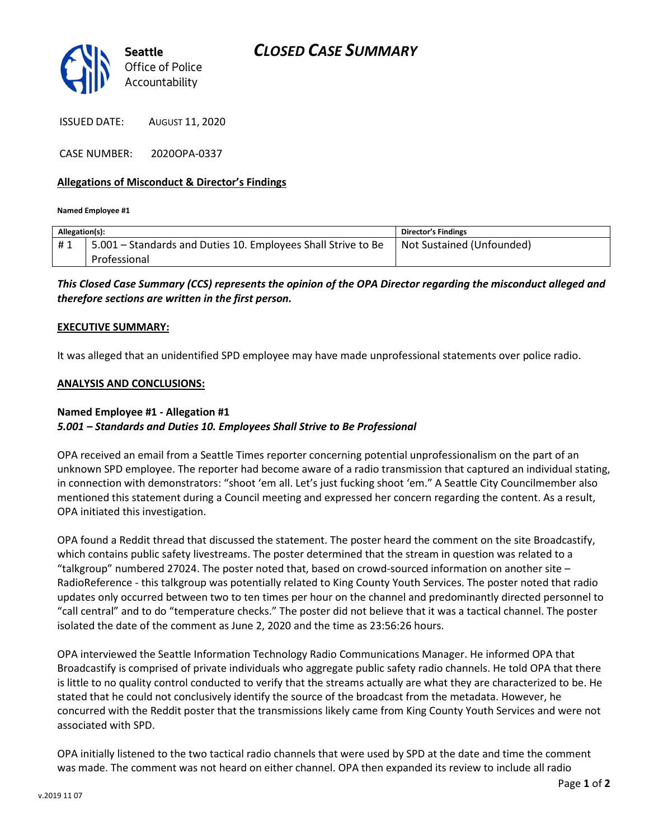

ISSUED DATE: AUGUST 11, 2020

CASE NUMBER: 2020OPA-0337

### Allegations of Misconduct & Director's Findings

Named Employee #1

| Allegation(s): |                                                               | <b>Director's Findings</b> |
|----------------|---------------------------------------------------------------|----------------------------|
| #1             | 5.001 – Standards and Duties 10. Employees Shall Strive to Be | Not Sustained (Unfounded)  |
|                | Professional                                                  |                            |

## This Closed Case Summary (CCS) represents the opinion of the OPA Director regarding the misconduct alleged and therefore sections are written in the first person.

### EXECUTIVE SUMMARY:

It was alleged that an unidentified SPD employee may have made unprofessional statements over police radio.

### ANALYSIS AND CONCLUSIONS:

#### Named Employee #1 - Allegation #1 5.001 – Standards and Duties 10. Employees Shall Strive to Be Professional

OPA received an email from a Seattle Times reporter concerning potential unprofessionalism on the part of an unknown SPD employee. The reporter had become aware of a radio transmission that captured an individual stating, in connection with demonstrators: "shoot 'em all. Let's just fucking shoot 'em." A Seattle City Councilmember also mentioned this statement during a Council meeting and expressed her concern regarding the content. As a result, OPA initiated this investigation.

OPA found a Reddit thread that discussed the statement. The poster heard the comment on the site Broadcastify, which contains public safety livestreams. The poster determined that the stream in question was related to a "talkgroup" numbered 27024. The poster noted that, based on crowd-sourced information on another site – RadioReference - this talkgroup was potentially related to King County Youth Services. The poster noted that radio updates only occurred between two to ten times per hour on the channel and predominantly directed personnel to "call central" and to do "temperature checks." The poster did not believe that it was a tactical channel. The poster isolated the date of the comment as June 2, 2020 and the time as 23:56:26 hours.

OPA interviewed the Seattle Information Technology Radio Communications Manager. He informed OPA that Broadcastify is comprised of private individuals who aggregate public safety radio channels. He told OPA that there is little to no quality control conducted to verify that the streams actually are what they are characterized to be. He stated that he could not conclusively identify the source of the broadcast from the metadata. However, he concurred with the Reddit poster that the transmissions likely came from King County Youth Services and were not associated with SPD.

OPA initially listened to the two tactical radio channels that were used by SPD at the date and time the comment was made. The comment was not heard on either channel. OPA then expanded its review to include all radio